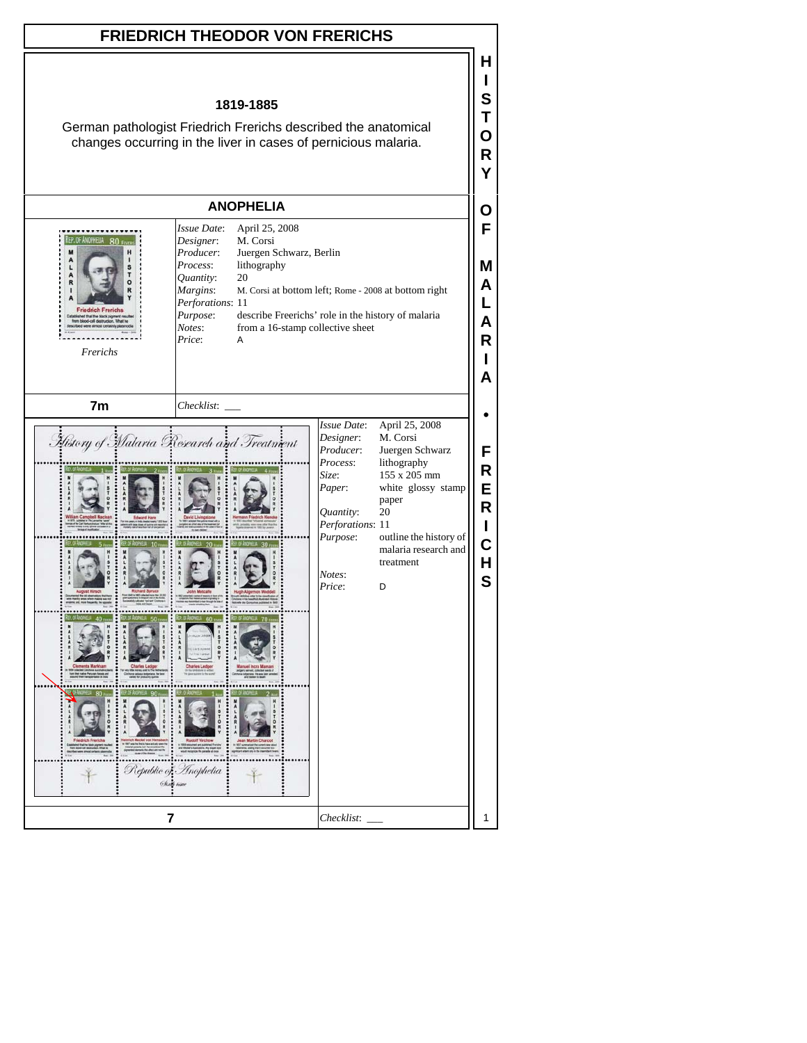